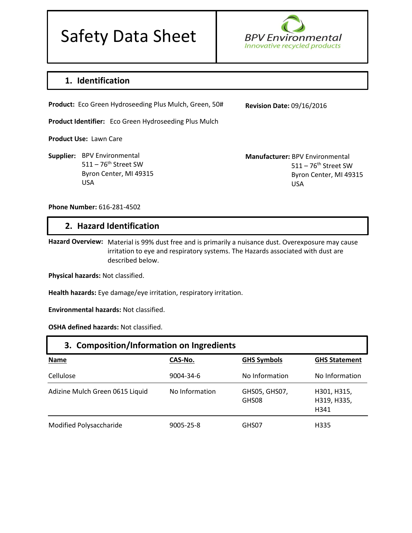# Safety Data Sheet



# **1. Identification**

**Product:** Eco Green Hydroseeding Plus Mulch, Green, 50#

**Product Identifier:** Eco Green Hydroseeding Plus Mulch

**Product Use:** Lawn Care

**Supplier:**  BPV Environmental  $511 - 76$ <sup>th</sup> Street SW Byron Center, MI 49315 USA

**Revision Date:** 09/16/2016

**Manufacturer:** BPV Environmental  $511 - 76$ <sup>th</sup> Street SW Byron Center, MI 49315 USA

**Phone Number:** 616-281-4502

#### **2. Hazard Identification**

Hazard Overview: Material is 99% dust free and is primarily a nuisance dust. Overexposure may cause irritation to eye and respiratory systems. The Hazards associated with dust are described below.

**Physical hazards:** Not classified.

**Health hazards:** Eye damage/eye irritation, respiratory irritation.

**Environmental hazards:** Not classified.

**OSHA defined hazards:** Not classified.

| 3. Composition/Information on Ingredients |                |                        |                                    |
|-------------------------------------------|----------------|------------------------|------------------------------------|
| <b>Name</b>                               | CAS-No.        | <b>GHS Symbols</b>     | <b>GHS Statement</b>               |
| Cellulose                                 | 9004-34-6      | No Information         | No Information                     |
| Adizine Mulch Green 0615 Liquid           | No Information | GHS05, GHS07,<br>GHS08 | H301, H315,<br>H319, H335,<br>H341 |
| Modified Polysaccharide                   | 9005-25-8      | GHS07                  | H335                               |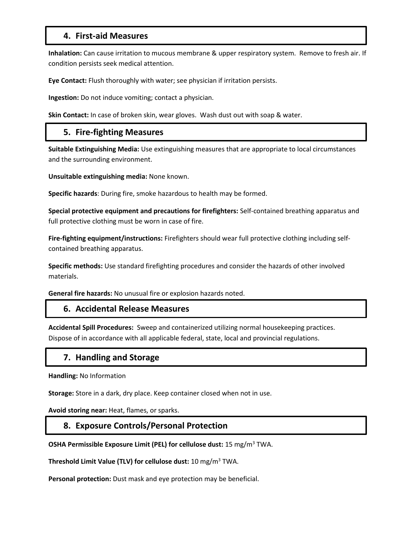# **4. First-aid Measures**

**Inhalation:** Can cause irritation to mucous membrane & upper respiratory system. Remove to fresh air. If condition persists seek medical attention.

**Eye Contact:** Flush thoroughly with water; see physician if irritation persists.

**Ingestion:** Do not induce vomiting; contact a physician.

**Skin Contact:** In case of broken skin, wear gloves. Wash dust out with soap & water.

# **5. Fire-fighting Measures**

**Suitable Extinguishing Media:** Use extinguishing measures that are appropriate to local circumstances and the surrounding environment.

**Unsuitable extinguishing media:** None known.

**Specific hazards**: During fire, smoke hazardous to health may be formed.

**Special protective equipment and precautions for firefighters:** Self-contained breathing apparatus and full protective clothing must be worn in case of fire.

**Fire-fighting equipment/instructions:** Firefighters should wear full protective clothing including selfcontained breathing apparatus.

**Specific methods:** Use standard firefighting procedures and consider the hazards of other involved materials.

**General fire hazards:** No unusual fire or explosion hazards noted.

#### **6. Accidental Release Measures**

**Accidental Spill Procedures:** Sweep and containerized utilizing normal housekeeping practices. Dispose of in accordance with all applicable federal, state, local and provincial regulations.

#### **7. Handling and Storage**

**Handling:** No Information

**Storage:** Store in a dark, dry place. Keep container closed when not in use.

**Avoid storing near:** Heat, flames, or sparks.

#### **8. Exposure Controls/Personal Protection**

**OSHA Permissible Exposure Limit (PEL) for cellulose dust:** 15 mg/m<sup>3</sup> TWA.

**Threshold Limit Value (TLV) for cellulose dust:** 10 mg/m<sup>3</sup> TWA.

**Personal protection:** Dust mask and eye protection may be beneficial.